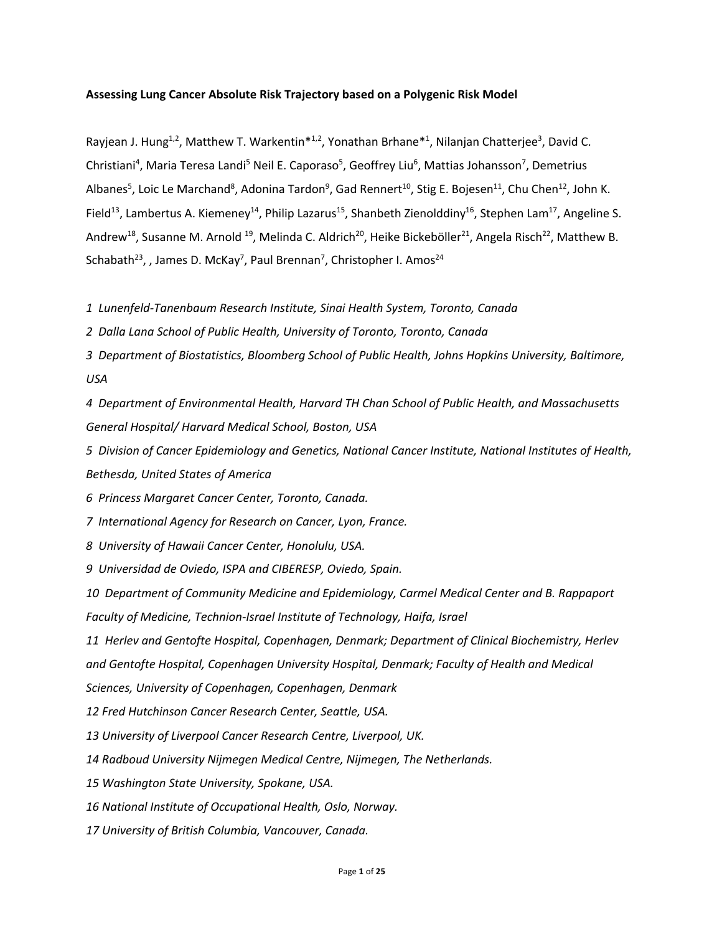## **Assessing Lung Cancer Absolute Risk Trajectory based on a Polygenic Risk Model**

Rayjean J. Hung<sup>1,2</sup>, Matthew T. Warkentin<sup>\*1,2</sup>, Yonathan Brhane<sup>\*1</sup>, Nilanjan Chatterjee<sup>3</sup>, David C. Christiani<sup>4</sup>, Maria Teresa Landi<sup>5</sup> Neil E. Caporaso<sup>5</sup>, Geoffrey Liu<sup>6</sup>, Mattias Johansson<sup>7</sup>, Demetrius Albanes<sup>5</sup>, Loic Le Marchand<sup>8</sup>, Adonina Tardon<sup>9</sup>, Gad Rennert<sup>10</sup>, Stig E. Bojesen<sup>11</sup>, Chu Chen<sup>12</sup>, John K. Field<sup>13</sup>, Lambertus A. Kiemeney<sup>14</sup>, Philip Lazarus<sup>15</sup>, Shanbeth Zienolddiny<sup>16</sup>, Stephen Lam<sup>17</sup>, Angeline S. Andrew<sup>18</sup>, Susanne M. Arnold <sup>19</sup>, Melinda C. Aldrich<sup>20</sup>, Heike Bickeböller<sup>21</sup>, Angela Risch<sup>22</sup>, Matthew B. Schabath<sup>23</sup>, , James D. McKay<sup>7</sup>, Paul Brennan<sup>7</sup>, Christopher I. Amos<sup>24</sup>

*1 Lunenfeld-Tanenbaum Research Institute, Sinai Health System, Toronto, Canada*

*2 Dalla Lana School of Public Health, University of Toronto, Toronto, Canada*

*3 Department of Biostatistics, Bloomberg School of Public Health, Johns Hopkins University, Baltimore, USA*

*4 Department of Environmental Health, Harvard TH Chan School of Public Health, and Massachusetts General Hospital/ Harvard Medical School, Boston, USA*

*5 Division of Cancer Epidemiology and Genetics, National Cancer Institute, National Institutes of Health, Bethesda, United States of America*

*6 Princess Margaret Cancer Center, Toronto, Canada.*

*7 International Agency for Research on Cancer, Lyon, France.*

*8 University of Hawaii Cancer Center, Honolulu, USA.* 

*9 Universidad de Oviedo, ISPA and CIBERESP, Oviedo, Spain.* 

*10 Department of Community Medicine and Epidemiology, Carmel Medical Center and B. Rappaport Faculty of Medicine, Technion-Israel Institute of Technology, Haifa, Israel*

*11 Herlev and Gentofte Hospital, Copenhagen, Denmark; Department of Clinical Biochemistry, Herlev and Gentofte Hospital, Copenhagen University Hospital, Denmark; Faculty of Health and Medical* 

*Sciences, University of Copenhagen, Copenhagen, Denmark*

*12 Fred Hutchinson Cancer Research Center, Seattle, USA.* 

*13 University of Liverpool Cancer Research Centre, Liverpool, UK.* 

*14 Radboud University Nijmegen Medical Centre, Nijmegen, The Netherlands.* 

*15 Washington State University, Spokane, USA.* 

*16 National Institute of Occupational Health, Oslo, Norway.* 

*17 University of British Columbia, Vancouver, Canada.*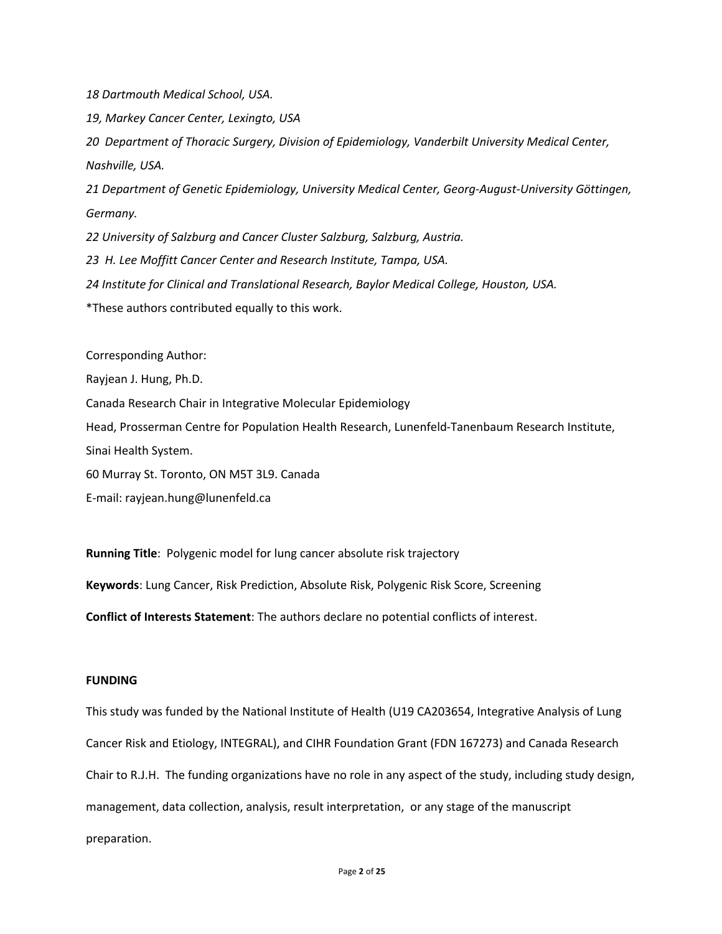*18 Dartmouth Medical School, USA.* 

*19, Markey Cancer Center, Lexingto, USA*

*20 Department of Thoracic Surgery, Division of Epidemiology, Vanderbilt University Medical Center, Nashville, USA.* 

*21 Department of Genetic Epidemiology, University Medical Center, Georg-August-University Göttingen, Germany.* 

*22 University of Salzburg and Cancer Cluster Salzburg, Salzburg, Austria.*

*23 H. Lee Moffitt Cancer Center and Research Institute, Tampa, USA.*

*24 Institute for Clinical and Translational Research, Baylor Medical College, Houston, USA.*

\*These authors contributed equally to this work.

Corresponding Author: Rayjean J. Hung, Ph.D. Canada Research Chair in Integrative Molecular Epidemiology Head, Prosserman Centre for Population Health Research, Lunenfeld-Tanenbaum Research Institute, Sinai Health System. 60 Murray St. Toronto, ON M5T 3L9. Canada E-mail: rayjean.hung@lunenfeld.ca

**Running Title**: Polygenic model for lung cancer absolute risk trajectory **Keywords**: Lung Cancer, Risk Prediction, Absolute Risk, Polygenic Risk Score, Screening **Conflict of Interests Statement**: The authors declare no potential conflicts of interest.

# **FUNDING**

This study was funded by the National Institute of Health (U19 CA203654, Integrative Analysis of Lung Cancer Risk and Etiology, INTEGRAL), and CIHR Foundation Grant (FDN 167273) and Canada Research Chair to R.J.H. The funding organizations have no role in any aspect of the study, including study design, management, data collection, analysis, result interpretation, or any stage of the manuscript preparation.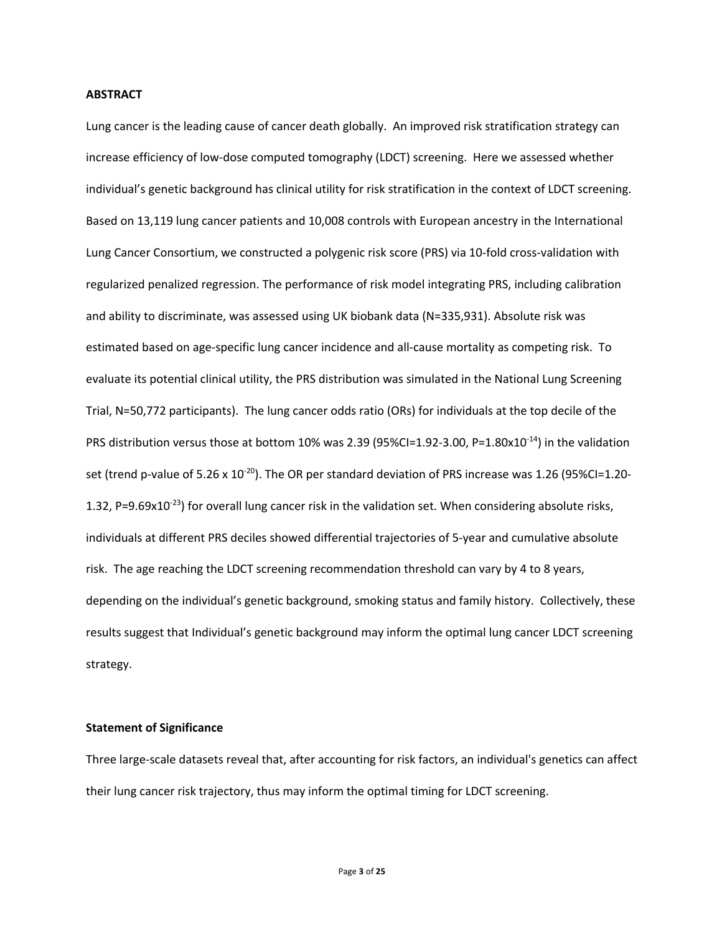## **ABSTRACT**

Lung cancer is the leading cause of cancer death globally. An improved risk stratification strategy can increase efficiency of low-dose computed tomography (LDCT) screening. Here we assessed whether individual's genetic background has clinical utility for risk stratification in the context of LDCT screening. Based on 13,119 lung cancer patients and 10,008 controls with European ancestry in the International Lung Cancer Consortium, we constructed a polygenic risk score (PRS) via 10-fold cross-validation with regularized penalized regression. The performance of risk model integrating PRS, including calibration and ability to discriminate, was assessed using UK biobank data (N=335,931). Absolute risk was estimated based on age-specific lung cancer incidence and all-cause mortality as competing risk. To evaluate its potential clinical utility, the PRS distribution was simulated in the National Lung Screening Trial, N=50,772 participants). The lung cancer odds ratio (ORs) for individuals at the top decile of the PRS distribution versus those at bottom 10% was 2.39 (95%CI=1.92-3.00, P=1.80x10<sup>-14</sup>) in the validation set (trend p-value of  $5.26 \times 10^{-20}$ ). The OR per standard deviation of PRS increase was 1.26 (95%CI=1.20-1.32, P=9.69x10<sup>-23</sup>) for overall lung cancer risk in the validation set. When considering absolute risks, individuals at different PRS deciles showed differential trajectories of 5-year and cumulative absolute risk. The age reaching the LDCT screening recommendation threshold can vary by 4 to 8 years, depending on the individual's genetic background, smoking status and family history. Collectively, these results suggest that Individual's genetic background may inform the optimal lung cancer LDCT screening strategy.

## **Statement of Significance**

Three large-scale datasets reveal that, after accounting for risk factors, an individual's genetics can affect their lung cancer risk trajectory, thus may inform the optimal timing for LDCT screening.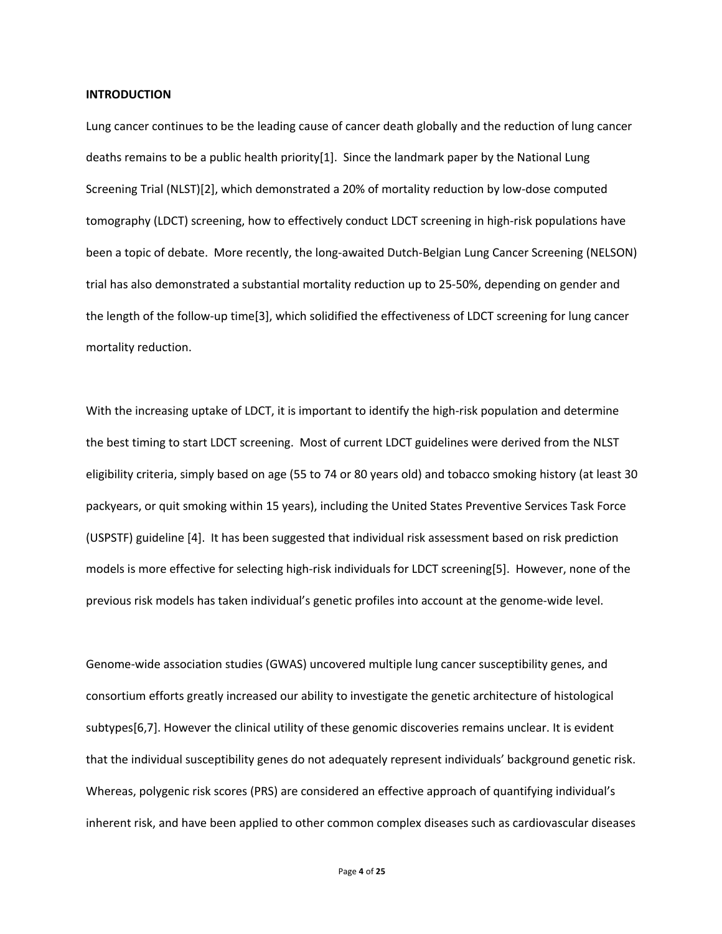## **INTRODUCTION**

Lung cancer continues to be the leading cause of cancer death globally and the reduction of lung cancer deaths remains to be a public health priority[1]. Since the landmark paper by the National Lung Screening Trial (NLST)[2], which demonstrated a 20% of mortality reduction by low-dose computed tomography (LDCT) screening, how to effectively conduct LDCT screening in high-risk populations have been a topic of debate. More recently, the long-awaited Dutch-Belgian Lung Cancer Screening (NELSON) trial has also demonstrated a substantial mortality reduction up to 25-50%, depending on gender and the length of the follow-up time[3], which solidified the effectiveness of LDCT screening for lung cancer mortality reduction.

With the increasing uptake of LDCT, it is important to identify the high-risk population and determine the best timing to start LDCT screening. Most of current LDCT guidelines were derived from the NLST eligibility criteria, simply based on age (55 to 74 or 80 years old) and tobacco smoking history (at least 30 packyears, or quit smoking within 15 years), including the United States Preventive Services Task Force (USPSTF) guideline [4]. It has been suggested that individual risk assessment based on risk prediction models is more effective for selecting high-risk individuals for LDCT screening[5]. However, none of the previous risk models has taken individual's genetic profiles into account at the genome-wide level.

Genome-wide association studies (GWAS) uncovered multiple lung cancer susceptibility genes, and consortium efforts greatly increased our ability to investigate the genetic architecture of histological subtypes[6,7]. However the clinical utility of these genomic discoveries remains unclear. It is evident that the individual susceptibility genes do not adequately represent individuals' background genetic risk. Whereas, polygenic risk scores (PRS) are considered an effective approach of quantifying individual's inherent risk, and have been applied to other common complex diseases such as cardiovascular diseases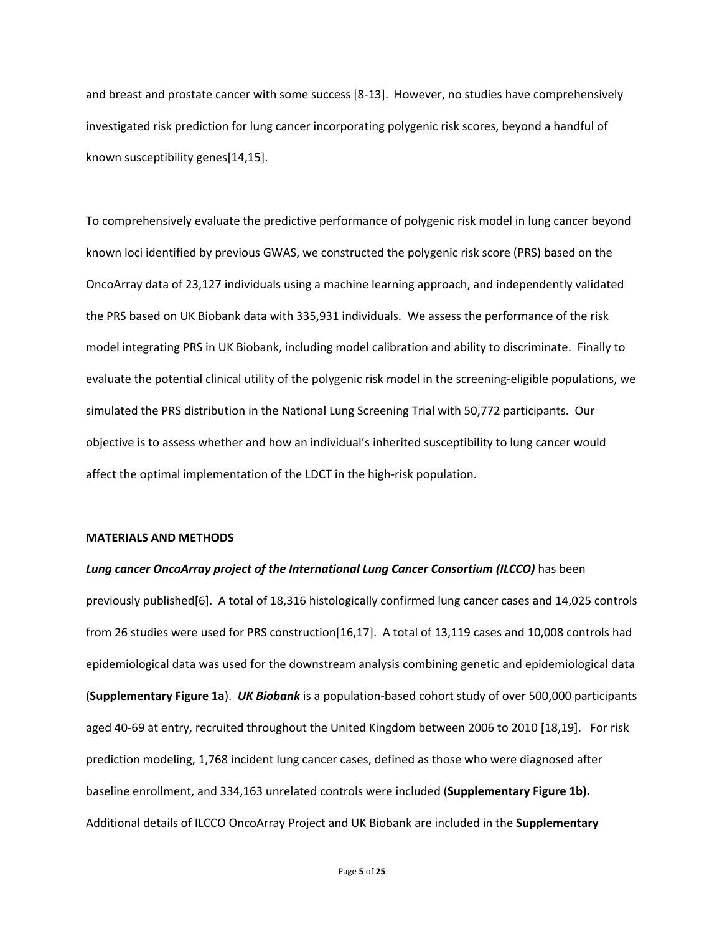and breast and prostate cancer with some success [8-13]. However, no studies have comprehensively investigated risk prediction for lung cancer incorporating polygenic risk scores, beyond a handful of known susceptibility genes[14,15].

To comprehensively evaluate the predictive performance of polygenic risk model in lung cancer beyond known loci identified by previous GWAS, we constructed the polygenic risk score (PRS) based on the OncoArray data of 23,127 individuals using a machine learning approach, and independently validated the PRS based on UK Biobank data with 335,931 individuals. We assess the performance of the risk model integrating PRS in UK Biobank, including model calibration and ability to discriminate. Finally to evaluate the potential clinical utility of the polygenic risk model in the screening-eligible populations, we simulated the PRS distribution in the National Lung Screening Trial with 50,772 participants. Our objective is to assess whether and how an individual's inherited susceptibility to lung cancer would affect the optimal implementation of the LDCT in the high-risk population.

## **MATERIALS AND METHODS**

# *Lung cancer OncoArray project of the International Lung Cancer Consortium (ILCCO)* has been previously published[6]. A total of 18,316 histologically confirmed lung cancer cases and 14,025 controls from 26 studies were used for PRS construction[16,17]. A total of 13,119 cases and 10,008 controls had epidemiological data was used for the downstream analysis combining genetic and epidemiological data (**Supplementary Figure 1a**). *UK Biobank* is a population-based cohort study of over 500,000 participants aged 40-69 at entry, recruited throughout the United Kingdom between 2006 to 2010 [18,19]. For risk prediction modeling, 1,768 incident lung cancer cases, defined as those who were diagnosed after baseline enrollment, and 334,163 unrelated controls were included (**Supplementary Figure 1b).**  Additional details of ILCCO OncoArray Project and UK Biobank are included in the **Supplementary**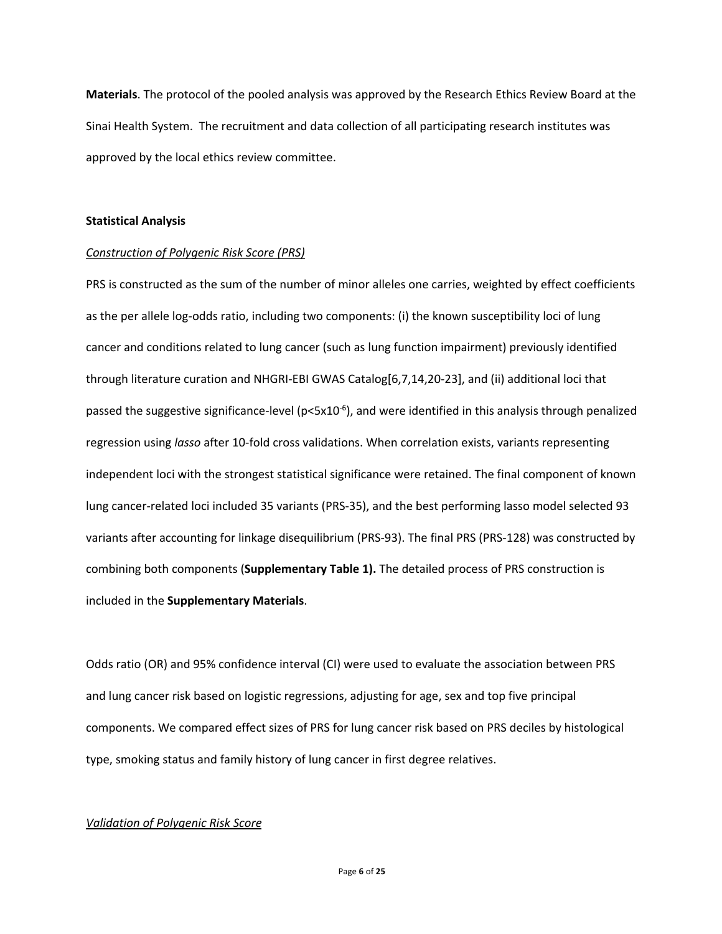**Materials**. The protocol of the pooled analysis was approved by the Research Ethics Review Board at the Sinai Health System. The recruitment and data collection of all participating research institutes was approved by the local ethics review committee.

## **Statistical Analysis**

## *Construction of Polygenic Risk Score (PRS)*

PRS is constructed as the sum of the number of minor alleles one carries, weighted by effect coefficients as the per allele log-odds ratio, including two components: (i) the known susceptibility loci of lung cancer and conditions related to lung cancer (such as lung function impairment) previously identified through literature curation and NHGRI-EBI GWAS Catalog[6,7,14,20-23], and (ii) additional loci that passed the suggestive significance-level (p<5x10<sup>-6</sup>), and were identified in this analysis through penalized regression using *lasso* after 10-fold cross validations. When correlation exists, variants representing independent loci with the strongest statistical significance were retained. The final component of known lung cancer-related loci included 35 variants (PRS-35), and the best performing lasso model selected 93 variants after accounting for linkage disequilibrium (PRS-93). The final PRS (PRS-128) was constructed by combining both components (**Supplementary Table 1).** The detailed process of PRS construction is included in the **Supplementary Materials**.

Odds ratio (OR) and 95% confidence interval (CI) were used to evaluate the association between PRS and lung cancer risk based on logistic regressions, adjusting for age, sex and top five principal components. We compared effect sizes of PRS for lung cancer risk based on PRS deciles by histological type, smoking status and family history of lung cancer in first degree relatives.

## *Validation of Polygenic Risk Score*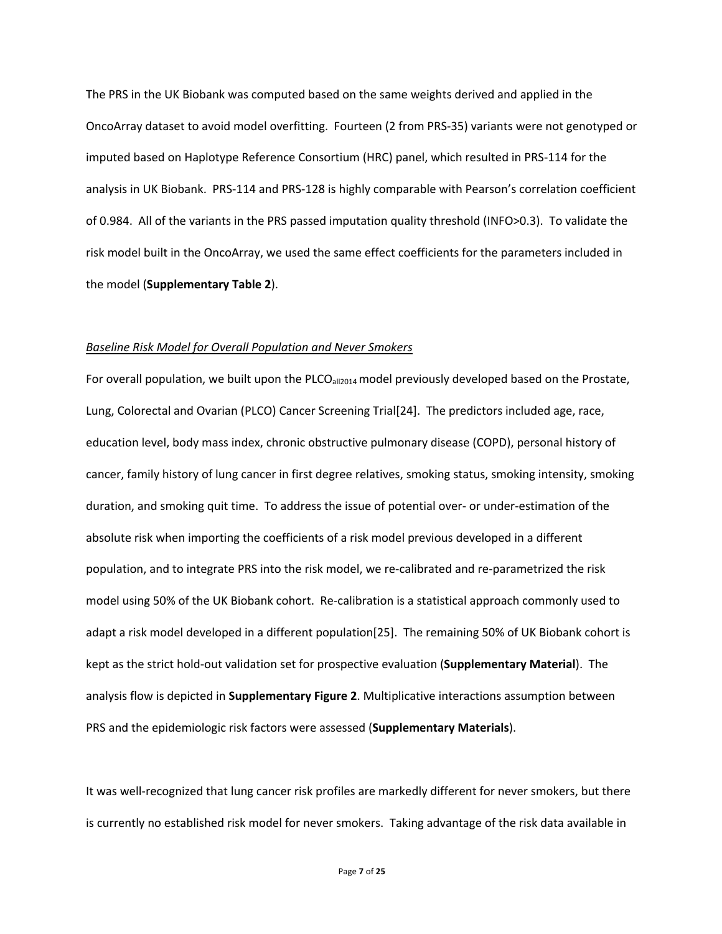The PRS in the UK Biobank was computed based on the same weights derived and applied in the OncoArray dataset to avoid model overfitting. Fourteen (2 from PRS-35) variants were not genotyped or imputed based on Haplotype Reference Consortium (HRC) panel, which resulted in PRS-114 for the analysis in UK Biobank. PRS-114 and PRS-128 is highly comparable with Pearson's correlation coefficient of 0.984. All of the variants in the PRS passed imputation quality threshold (INFO>0.3). To validate the risk model built in the OncoArray, we used the same effect coefficients for the parameters included in the model (**Supplementary Table 2**).

#### *Baseline Risk Model for Overall Population and Never Smokers*

For overall population, we built upon the PLCO $_{all2014}$  model previously developed based on the Prostate, Lung, Colorectal and Ovarian (PLCO) Cancer Screening Trial[24]. The predictors included age, race, education level, body mass index, chronic obstructive pulmonary disease (COPD), personal history of cancer, family history of lung cancer in first degree relatives, smoking status, smoking intensity, smoking duration, and smoking quit time. To address the issue of potential over- or under-estimation of the absolute risk when importing the coefficients of a risk model previous developed in a different population, and to integrate PRS into the risk model, we re-calibrated and re-parametrized the risk model using 50% of the UK Biobank cohort. Re-calibration is a statistical approach commonly used to adapt a risk model developed in a different population[25]. The remaining 50% of UK Biobank cohort is kept as the strict hold-out validation set for prospective evaluation (**Supplementary Material**). The analysis flow is depicted in **Supplementary Figure 2**. Multiplicative interactions assumption between PRS and the epidemiologic risk factors were assessed (**Supplementary Materials**).

It was well-recognized that lung cancer risk profiles are markedly different for never smokers, but there is currently no established risk model for never smokers. Taking advantage of the risk data available in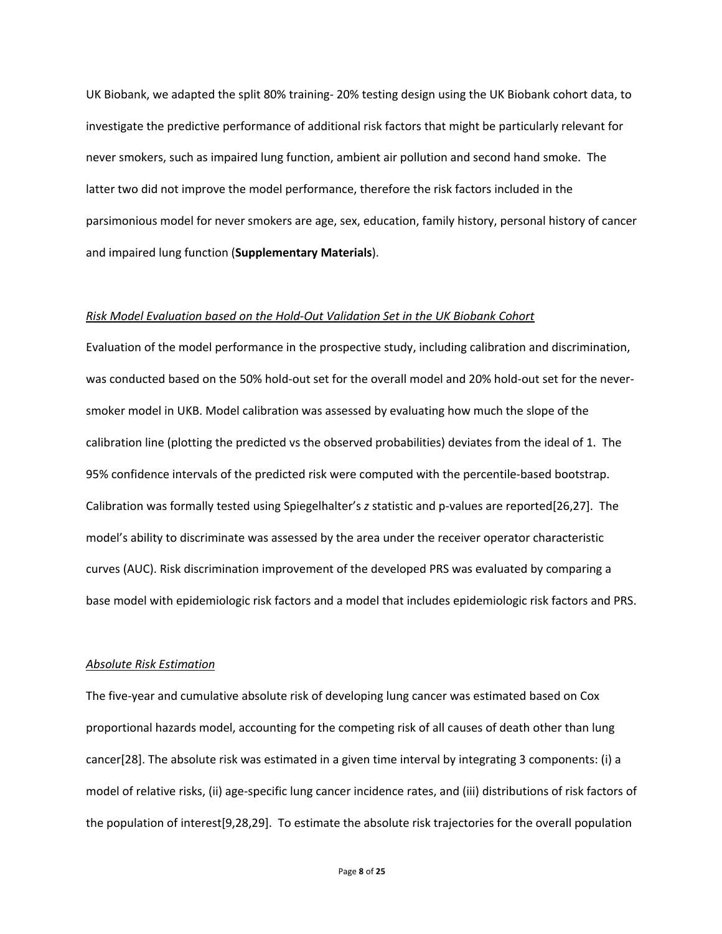UK Biobank, we adapted the split 80% training- 20% testing design using the UK Biobank cohort data, to investigate the predictive performance of additional risk factors that might be particularly relevant for never smokers, such as impaired lung function, ambient air pollution and second hand smoke. The latter two did not improve the model performance, therefore the risk factors included in the parsimonious model for never smokers are age, sex, education, family history, personal history of cancer and impaired lung function (**Supplementary Materials**).

#### *Risk Model Evaluation based on the Hold-Out Validation Set in the UK Biobank Cohort*

Evaluation of the model performance in the prospective study, including calibration and discrimination, was conducted based on the 50% hold-out set for the overall model and 20% hold-out set for the neversmoker model in UKB. Model calibration was assessed by evaluating how much the slope of the calibration line (plotting the predicted vs the observed probabilities) deviates from the ideal of 1. The 95% confidence intervals of the predicted risk were computed with the percentile-based bootstrap. Calibration was formally tested using Spiegelhalter's *z* statistic and p-values are reported[26,27]. The model's ability to discriminate was assessed by the area under the receiver operator characteristic curves (AUC). Risk discrimination improvement of the developed PRS was evaluated by comparing a base model with epidemiologic risk factors and a model that includes epidemiologic risk factors and PRS.

#### *Absolute Risk Estimation*

The five-year and cumulative absolute risk of developing lung cancer was estimated based on Cox proportional hazards model, accounting for the competing risk of all causes of death other than lung cancer[28]. The absolute risk was estimated in a given time interval by integrating 3 components: (i) a model of relative risks, (ii) age-specific lung cancer incidence rates, and (iii) distributions of risk factors of the population of interest[9,28,29]. To estimate the absolute risk trajectories for the overall population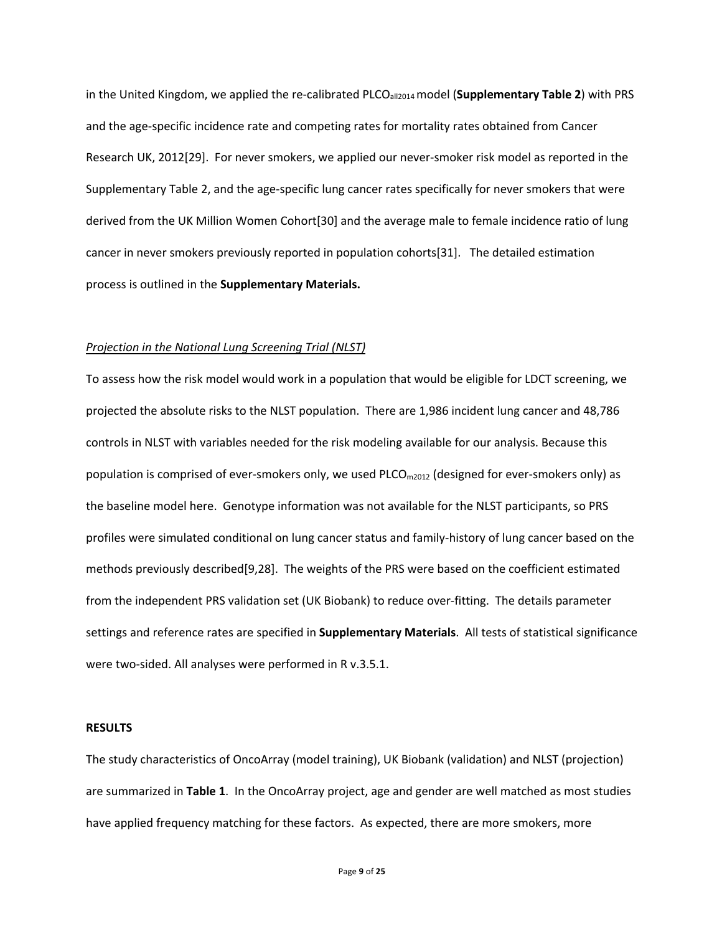in the United Kingdom, we applied the re-calibrated PLCO<sub>all2014</sub> model (Supplementary Table 2) with PRS and the age-specific incidence rate and competing rates for mortality rates obtained from Cancer Research UK, 2012[29]. For never smokers, we applied our never-smoker risk model as reported in the Supplementary Table 2, and the age-specific lung cancer rates specifically for never smokers that were derived from the UK Million Women Cohort[30] and the average male to female incidence ratio of lung cancer in never smokers previously reported in population cohorts[31]. The detailed estimation process is outlined in the **Supplementary Materials.**

#### *Projection in the National Lung Screening Trial (NLST)*

To assess how the risk model would work in a population that would be eligible for LDCT screening, we projected the absolute risks to the NLST population. There are 1,986 incident lung cancer and 48,786 controls in NLST with variables needed for the risk modeling available for our analysis. Because this population is comprised of ever-smokers only, we used  $PLCO_{m2012}$  (designed for ever-smokers only) as the baseline model here. Genotype information was not available for the NLST participants, so PRS profiles were simulated conditional on lung cancer status and family-history of lung cancer based on the methods previously described[9,28]. The weights of the PRS were based on the coefficient estimated from the independent PRS validation set (UK Biobank) to reduce over-fitting. The details parameter settings and reference rates are specified in **Supplementary Materials**. All tests of statistical significance were two-sided. All analyses were performed in R v.3.5.1.

## **RESULTS**

The study characteristics of OncoArray (model training), UK Biobank (validation) and NLST (projection) are summarized in **Table 1**. In the OncoArray project, age and gender are well matched as most studies have applied frequency matching for these factors. As expected, there are more smokers, more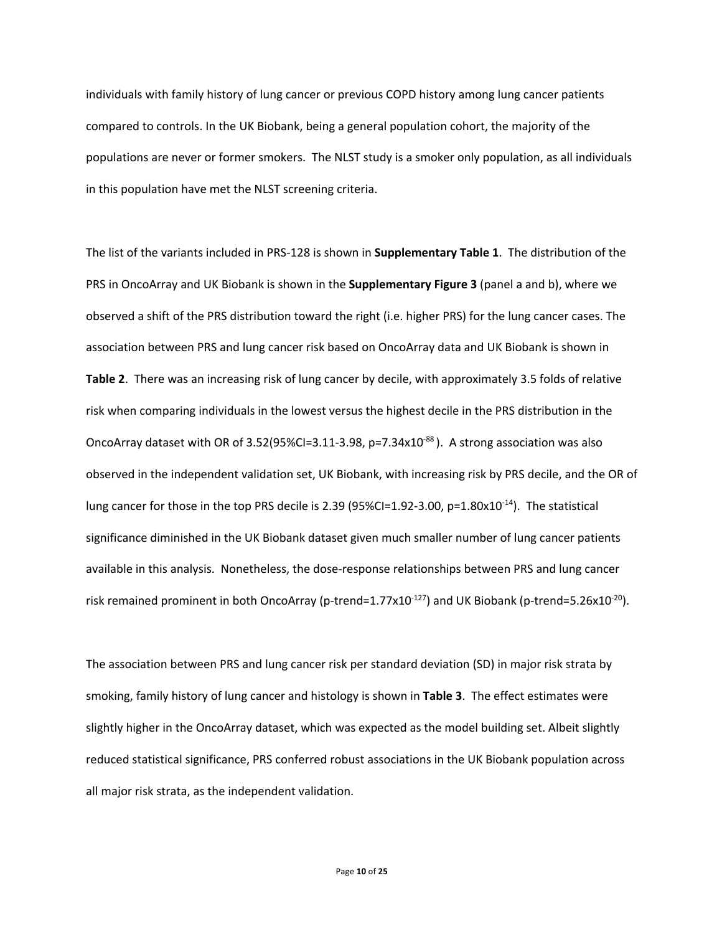individuals with family history of lung cancer or previous COPD history among lung cancer patients compared to controls. In the UK Biobank, being a general population cohort, the majority of the populations are never or former smokers. The NLST study is a smoker only population, as all individuals in this population have met the NLST screening criteria.

The list of the variants included in PRS-128 is shown in **Supplementary Table 1**. The distribution of the PRS in OncoArray and UK Biobank is shown in the **Supplementary Figure 3** (panel a and b), where we observed a shift of the PRS distribution toward the right (i.e. higher PRS) for the lung cancer cases. The association between PRS and lung cancer risk based on OncoArray data and UK Biobank is shown in **Table 2**. There was an increasing risk of lung cancer by decile, with approximately 3.5 folds of relative risk when comparing individuals in the lowest versus the highest decile in the PRS distribution in the OncoArray dataset with OR of 3.52(95%CI=3.11-3.98, p=7.34x10<sup>-88</sup>). A strong association was also observed in the independent validation set, UK Biobank, with increasing risk by PRS decile, and the OR of lung cancer for those in the top PRS decile is 2.39 (95%CI=1.92-3.00, p=1.80x10<sup>-14</sup>). The statistical significance diminished in the UK Biobank dataset given much smaller number of lung cancer patients available in this analysis. Nonetheless, the dose-response relationships between PRS and lung cancer risk remained prominent in both OncoArray (p-trend=1.77x10<sup>-127</sup>) and UK Biobank (p-trend=5.26x10<sup>-20</sup>).

The association between PRS and lung cancer risk per standard deviation (SD) in major risk strata by smoking, family history of lung cancer and histology is shown in **Table 3**. The effect estimates were slightly higher in the OncoArray dataset, which was expected as the model building set. Albeit slightly reduced statistical significance, PRS conferred robust associations in the UK Biobank population across all major risk strata, as the independent validation.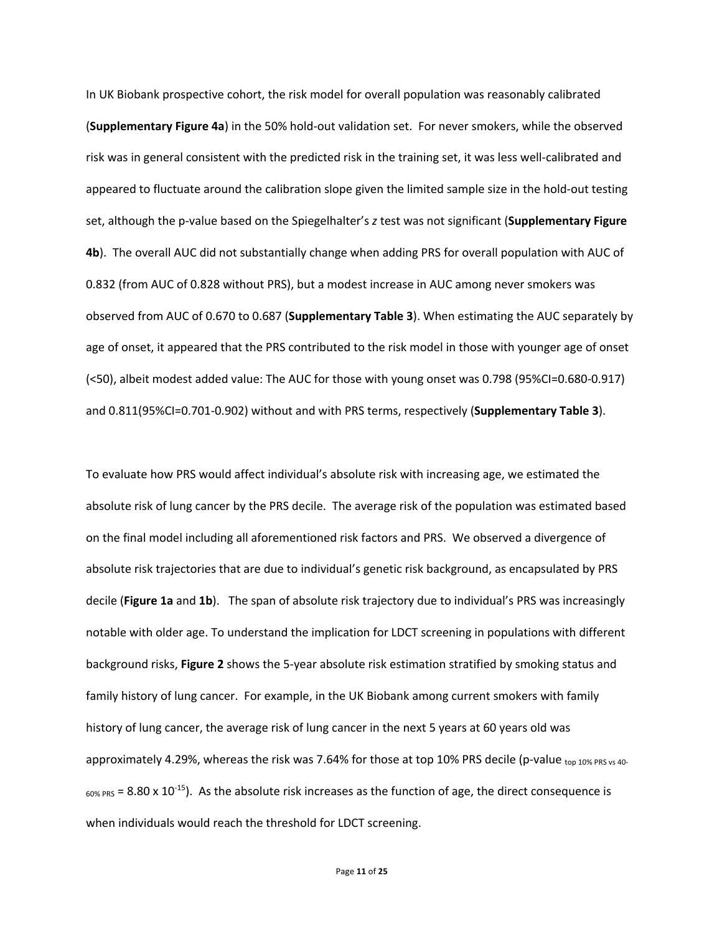In UK Biobank prospective cohort, the risk model for overall population was reasonably calibrated (**Supplementary Figure 4a**) in the 50% hold-out validation set. For never smokers, while the observed risk was in general consistent with the predicted risk in the training set, it was less well-calibrated and appeared to fluctuate around the calibration slope given the limited sample size in the hold-out testing set, although the p-value based on the Spiegelhalter's *z* test was not significant (**Supplementary Figure 4b**). The overall AUC did not substantially change when adding PRS for overall population with AUC of 0.832 (from AUC of 0.828 without PRS), but a modest increase in AUC among never smokers was observed from AUC of 0.670 to 0.687 (**Supplementary Table 3**). When estimating the AUC separately by age of onset, it appeared that the PRS contributed to the risk model in those with younger age of onset (<50), albeit modest added value: The AUC for those with young onset was 0.798 (95%CI=0.680-0.917) and 0.811(95%CI=0.701-0.902) without and with PRS terms, respectively (**Supplementary Table 3**).

To evaluate how PRS would affect individual's absolute risk with increasing age, we estimated the absolute risk of lung cancer by the PRS decile. The average risk of the population was estimated based on the final model including all aforementioned risk factors and PRS. We observed a divergence of absolute risk trajectories that are due to individual's genetic risk background, as encapsulated by PRS decile (**Figure 1a** and **1b**). The span of absolute risk trajectory due to individual's PRS was increasingly notable with older age. To understand the implication for LDCT screening in populations with different background risks, **Figure 2** shows the 5-year absolute risk estimation stratified by smoking status and family history of lung cancer. For example, in the UK Biobank among current smokers with family history of lung cancer, the average risk of lung cancer in the next 5 years at 60 years old was approximately 4.29%, whereas the risk was 7.64% for those at top 10% PRS decile (p-value top 10% PRS vs 40- $_{60\%\ PRS}$  = 8.80 x 10<sup>-15</sup>). As the absolute risk increases as the function of age, the direct consequence is when individuals would reach the threshold for LDCT screening.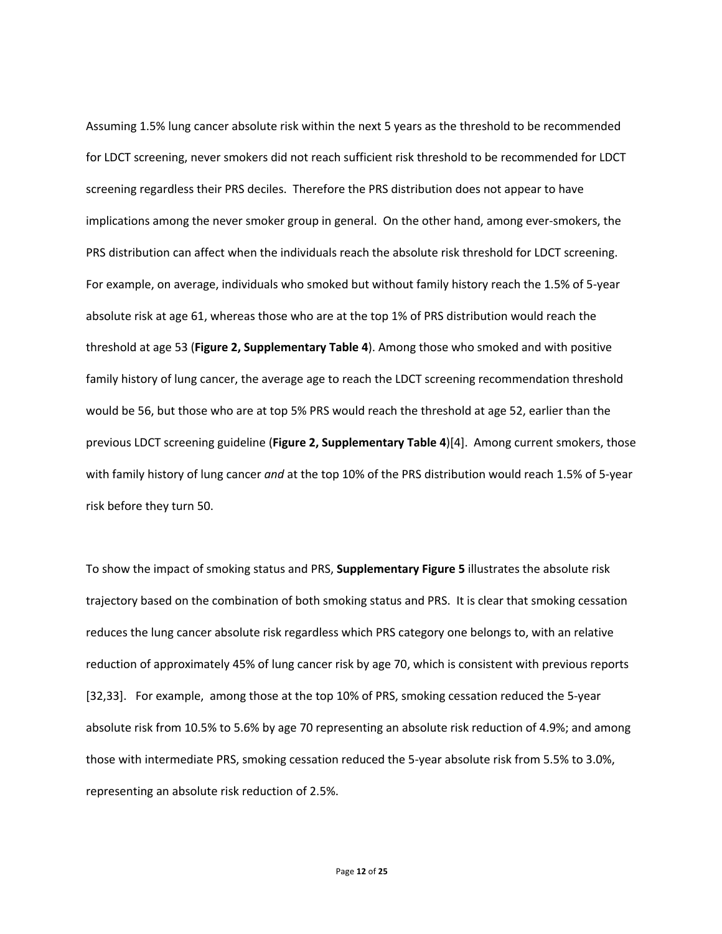Assuming 1.5% lung cancer absolute risk within the next 5 years as the threshold to be recommended for LDCT screening, never smokers did not reach sufficient risk threshold to be recommended for LDCT screening regardless their PRS deciles. Therefore the PRS distribution does not appear to have implications among the never smoker group in general. On the other hand, among ever-smokers, the PRS distribution can affect when the individuals reach the absolute risk threshold for LDCT screening. For example, on average, individuals who smoked but without family history reach the 1.5% of 5-year absolute risk at age 61, whereas those who are at the top 1% of PRS distribution would reach the threshold at age 53 (**Figure 2, Supplementary Table 4**). Among those who smoked and with positive family history of lung cancer, the average age to reach the LDCT screening recommendation threshold would be 56, but those who are at top 5% PRS would reach the threshold at age 52, earlier than the previous LDCT screening guideline (**Figure 2, Supplementary Table 4**)[4]. Among current smokers, those with family history of lung cancer *and* at the top 10% of the PRS distribution would reach 1.5% of 5-year risk before they turn 50.

To show the impact of smoking status and PRS, **Supplementary Figure 5** illustrates the absolute risk trajectory based on the combination of both smoking status and PRS. It is clear that smoking cessation reduces the lung cancer absolute risk regardless which PRS category one belongs to, with an relative reduction of approximately 45% of lung cancer risk by age 70, which is consistent with previous reports [32,33]. For example, among those at the top 10% of PRS, smoking cessation reduced the 5-year absolute risk from 10.5% to 5.6% by age 70 representing an absolute risk reduction of 4.9%; and among those with intermediate PRS, smoking cessation reduced the 5-year absolute risk from 5.5% to 3.0%, representing an absolute risk reduction of 2.5%.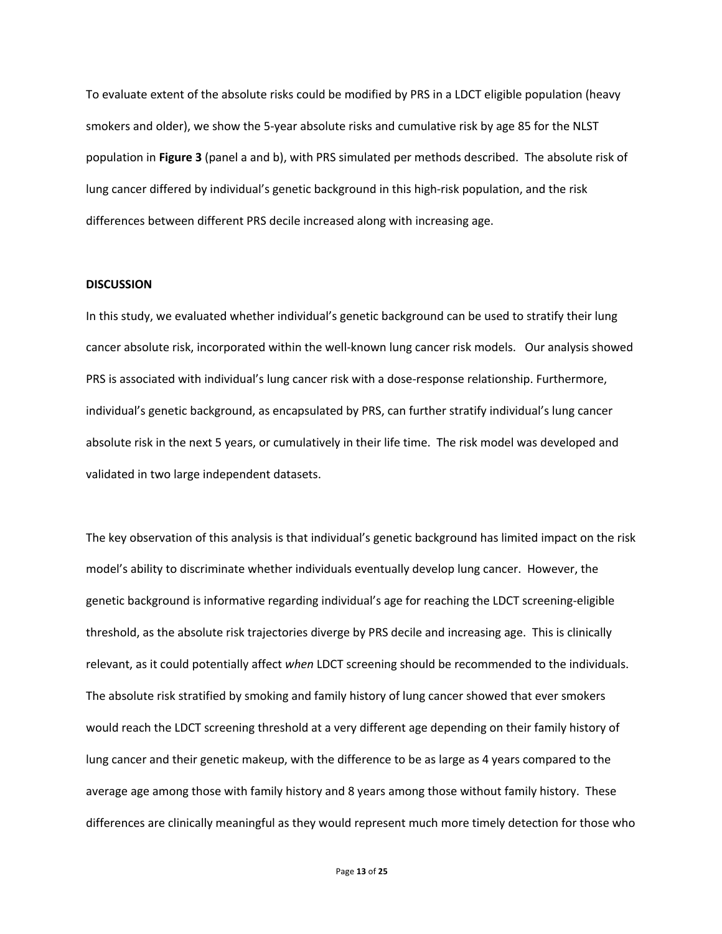To evaluate extent of the absolute risks could be modified by PRS in a LDCT eligible population (heavy smokers and older), we show the 5-year absolute risks and cumulative risk by age 85 for the NLST population in **Figure 3** (panel a and b), with PRS simulated per methods described. The absolute risk of lung cancer differed by individual's genetic background in this high-risk population, and the risk differences between different PRS decile increased along with increasing age.

## **DISCUSSION**

In this study, we evaluated whether individual's genetic background can be used to stratify their lung cancer absolute risk, incorporated within the well-known lung cancer risk models. Our analysis showed PRS is associated with individual's lung cancer risk with a dose-response relationship. Furthermore, individual's genetic background, as encapsulated by PRS, can further stratify individual's lung cancer absolute risk in the next 5 years, or cumulatively in their life time. The risk model was developed and validated in two large independent datasets.

The key observation of this analysis is that individual's genetic background has limited impact on the risk model's ability to discriminate whether individuals eventually develop lung cancer. However, the genetic background is informative regarding individual's age for reaching the LDCT screening-eligible threshold, as the absolute risk trajectories diverge by PRS decile and increasing age. This is clinically relevant, as it could potentially affect *when* LDCT screening should be recommended to the individuals. The absolute risk stratified by smoking and family history of lung cancer showed that ever smokers would reach the LDCT screening threshold at a very different age depending on their family history of lung cancer and their genetic makeup, with the difference to be as large as 4 years compared to the average age among those with family history and 8 years among those without family history. These differences are clinically meaningful as they would represent much more timely detection for those who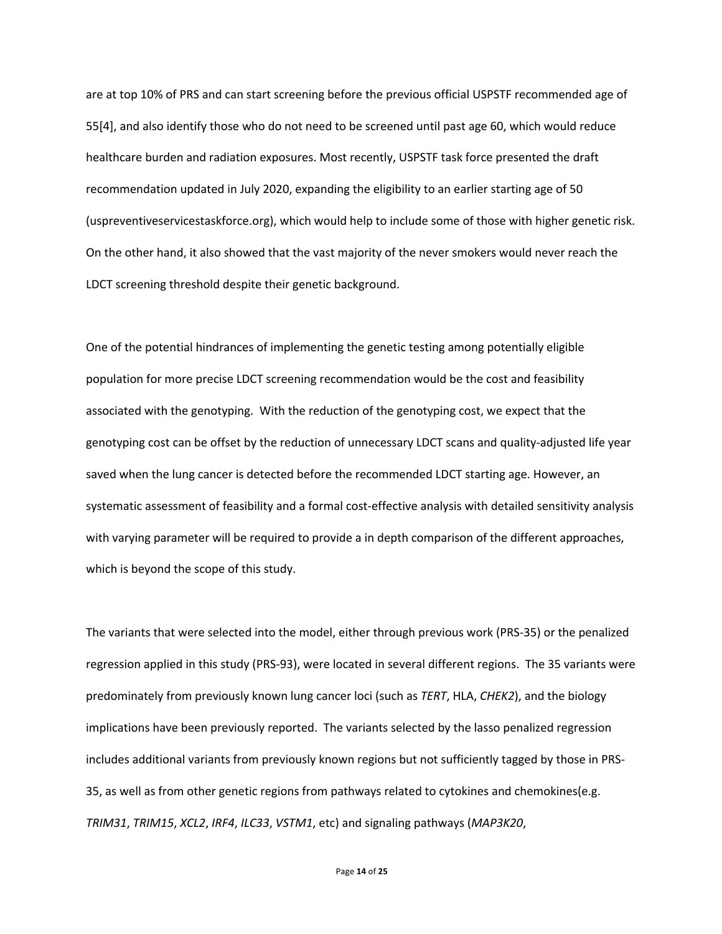are at top 10% of PRS and can start screening before the previous official USPSTF recommended age of 55[4], and also identify those who do not need to be screened until past age 60, which would reduce healthcare burden and radiation exposures. Most recently, USPSTF task force presented the draft recommendation updated in July 2020, expanding the eligibility to an earlier starting age of 50 (uspreventiveservicestaskforce.org), which would help to include some of those with higher genetic risk. On the other hand, it also showed that the vast majority of the never smokers would never reach the LDCT screening threshold despite their genetic background.

One of the potential hindrances of implementing the genetic testing among potentially eligible population for more precise LDCT screening recommendation would be the cost and feasibility associated with the genotyping. With the reduction of the genotyping cost, we expect that the genotyping cost can be offset by the reduction of unnecessary LDCT scans and quality-adjusted life year saved when the lung cancer is detected before the recommended LDCT starting age. However, an systematic assessment of feasibility and a formal cost-effective analysis with detailed sensitivity analysis with varying parameter will be required to provide a in depth comparison of the different approaches, which is beyond the scope of this study.

The variants that were selected into the model, either through previous work (PRS-35) or the penalized regression applied in this study (PRS-93), were located in several different regions. The 35 variants were predominately from previously known lung cancer loci (such as *TERT*, HLA, *CHEK2*), and the biology implications have been previously reported. The variants selected by the lasso penalized regression includes additional variants from previously known regions but not sufficiently tagged by those in PRS-35, as well as from other genetic regions from pathways related to cytokines and chemokines(e.g. *TRIM31*, *TRIM15*, *XCL2*, *IRF4*, *ILC33*, *VSTM1*, etc) and signaling pathways (*MAP3K20*,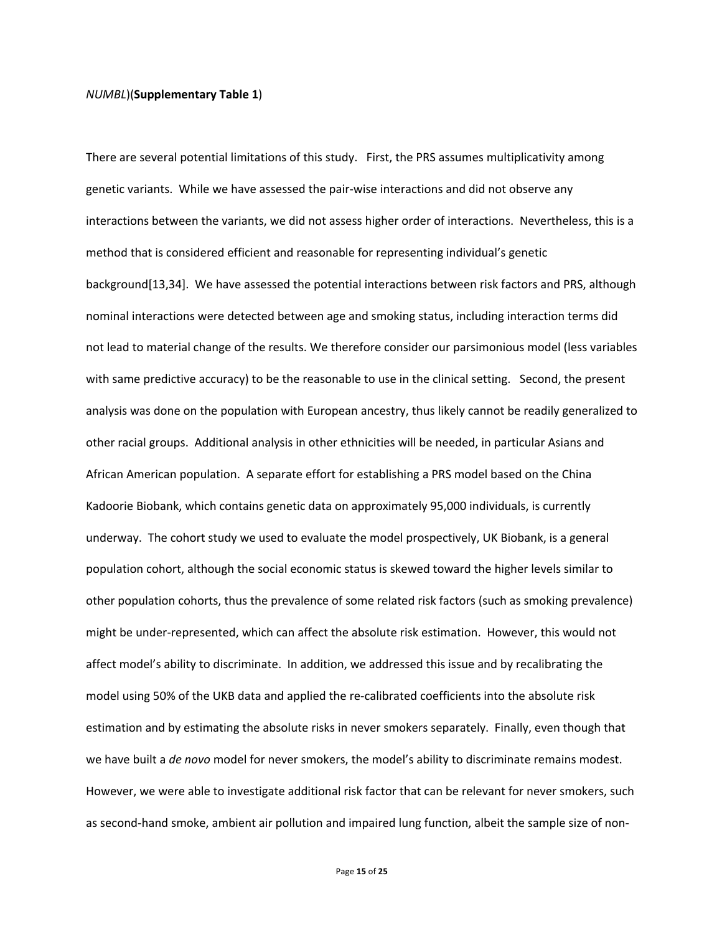## *NUMBL*)(**Supplementary Table 1**)

There are several potential limitations of this study. First, the PRS assumes multiplicativity among genetic variants. While we have assessed the pair-wise interactions and did not observe any interactions between the variants, we did not assess higher order of interactions. Nevertheless, this is a method that is considered efficient and reasonable for representing individual's genetic background[13,34]. We have assessed the potential interactions between risk factors and PRS, although nominal interactions were detected between age and smoking status, including interaction terms did not lead to material change of the results. We therefore consider our parsimonious model (less variables with same predictive accuracy) to be the reasonable to use in the clinical setting. Second, the present analysis was done on the population with European ancestry, thus likely cannot be readily generalized to other racial groups. Additional analysis in other ethnicities will be needed, in particular Asians and African American population. A separate effort for establishing a PRS model based on the China Kadoorie Biobank, which contains genetic data on approximately 95,000 individuals, is currently underway. The cohort study we used to evaluate the model prospectively, UK Biobank, is a general population cohort, although the social economic status is skewed toward the higher levels similar to other population cohorts, thus the prevalence of some related risk factors (such as smoking prevalence) might be under-represented, which can affect the absolute risk estimation. However, this would not affect model's ability to discriminate. In addition, we addressed this issue and by recalibrating the model using 50% of the UKB data and applied the re-calibrated coefficients into the absolute risk estimation and by estimating the absolute risks in never smokers separately. Finally, even though that we have built a *de novo* model for never smokers, the model's ability to discriminate remains modest. However, we were able to investigate additional risk factor that can be relevant for never smokers, such as second-hand smoke, ambient air pollution and impaired lung function, albeit the sample size of non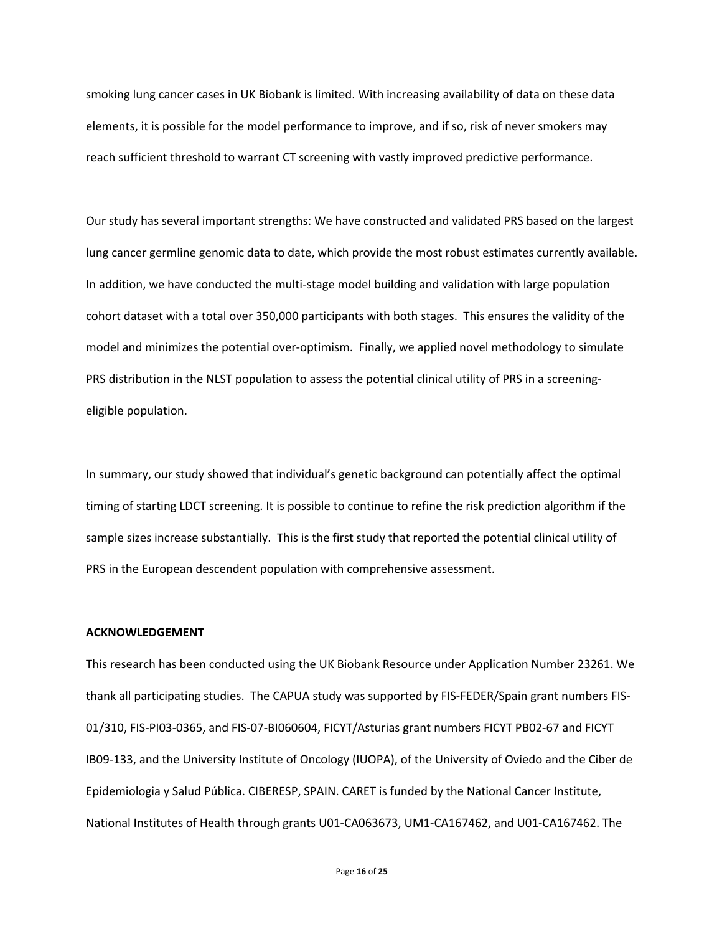smoking lung cancer cases in UK Biobank is limited. With increasing availability of data on these data elements, it is possible for the model performance to improve, and if so, risk of never smokers may reach sufficient threshold to warrant CT screening with vastly improved predictive performance.

Our study has several important strengths: We have constructed and validated PRS based on the largest lung cancer germline genomic data to date, which provide the most robust estimates currently available. In addition, we have conducted the multi-stage model building and validation with large population cohort dataset with a total over 350,000 participants with both stages. This ensures the validity of the model and minimizes the potential over-optimism. Finally, we applied novel methodology to simulate PRS distribution in the NLST population to assess the potential clinical utility of PRS in a screeningeligible population.

In summary, our study showed that individual's genetic background can potentially affect the optimal timing of starting LDCT screening. It is possible to continue to refine the risk prediction algorithm if the sample sizes increase substantially. This is the first study that reported the potential clinical utility of PRS in the European descendent population with comprehensive assessment.

## **ACKNOWLEDGEMENT**

This research has been conducted using the UK Biobank Resource under Application Number 23261. We thank all participating studies. The CAPUA study was supported by FIS-FEDER/Spain grant numbers FIS-01/310, FIS-PI03-0365, and FIS-07-BI060604, FICYT/Asturias grant numbers FICYT PB02-67 and FICYT IB09-133, and the University Institute of Oncology (IUOPA), of the University of Oviedo and the Ciber de Epidemiologia y Salud Pública. CIBERESP, SPAIN. CARET is funded by the National Cancer Institute, National Institutes of Health through grants U01-CA063673, UM1-CA167462, and U01-CA167462. The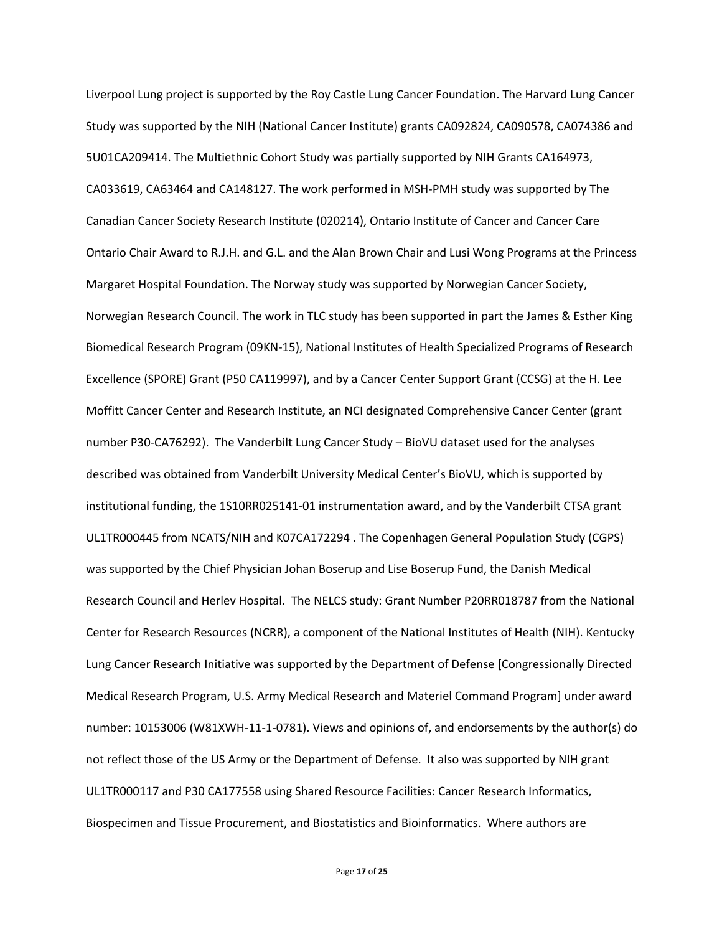Liverpool Lung project is supported by the Roy Castle Lung Cancer Foundation. The Harvard Lung Cancer Study was supported by the NIH (National Cancer Institute) grants CA092824, CA090578, CA074386 and 5U01CA209414. The Multiethnic Cohort Study was partially supported by NIH Grants CA164973, CA033619, CA63464 and CA148127. The work performed in MSH-PMH study was supported by The Canadian Cancer Society Research Institute (020214), Ontario Institute of Cancer and Cancer Care Ontario Chair Award to R.J.H. and G.L. and the Alan Brown Chair and Lusi Wong Programs at the Princess Margaret Hospital Foundation. The Norway study was supported by Norwegian Cancer Society, Norwegian Research Council. The work in TLC study has been supported in part the James & Esther King Biomedical Research Program (09KN-15), National Institutes of Health Specialized Programs of Research Excellence (SPORE) Grant (P50 CA119997), and by a Cancer Center Support Grant (CCSG) at the H. Lee Moffitt Cancer Center and Research Institute, an NCI designated Comprehensive Cancer Center (grant number P30-CA76292). The Vanderbilt Lung Cancer Study – BioVU dataset used for the analyses described was obtained from Vanderbilt University Medical Center's BioVU, which is supported by institutional funding, the 1S10RR025141-01 instrumentation award, and by the Vanderbilt CTSA grant UL1TR000445 from NCATS/NIH and K07CA172294 . The Copenhagen General Population Study (CGPS) was supported by the Chief Physician Johan Boserup and Lise Boserup Fund, the Danish Medical Research Council and Herlev Hospital. The NELCS study: Grant Number P20RR018787 from the National Center for Research Resources (NCRR), a component of the National Institutes of Health (NIH). Kentucky Lung Cancer Research Initiative was supported by the Department of Defense [Congressionally Directed Medical Research Program, U.S. Army Medical Research and Materiel Command Program] under award number: 10153006 (W81XWH-11-1-0781). Views and opinions of, and endorsements by the author(s) do not reflect those of the US Army or the Department of Defense. It also was supported by NIH grant UL1TR000117 and P30 CA177558 using Shared Resource Facilities: Cancer Research Informatics, Biospecimen and Tissue Procurement, and Biostatistics and Bioinformatics. Where authors are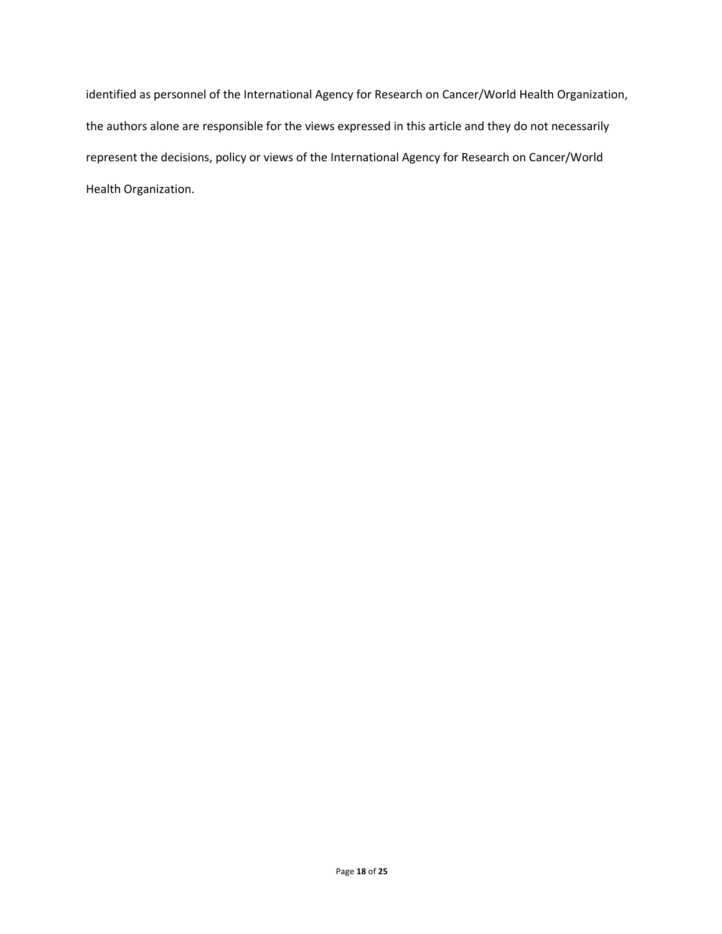identified as personnel of the International Agency for Research on Cancer/World Health Organization, the authors alone are responsible for the views expressed in this article and they do not necessarily represent the decisions, policy or views of the International Agency for Research on Cancer/World Health Organization.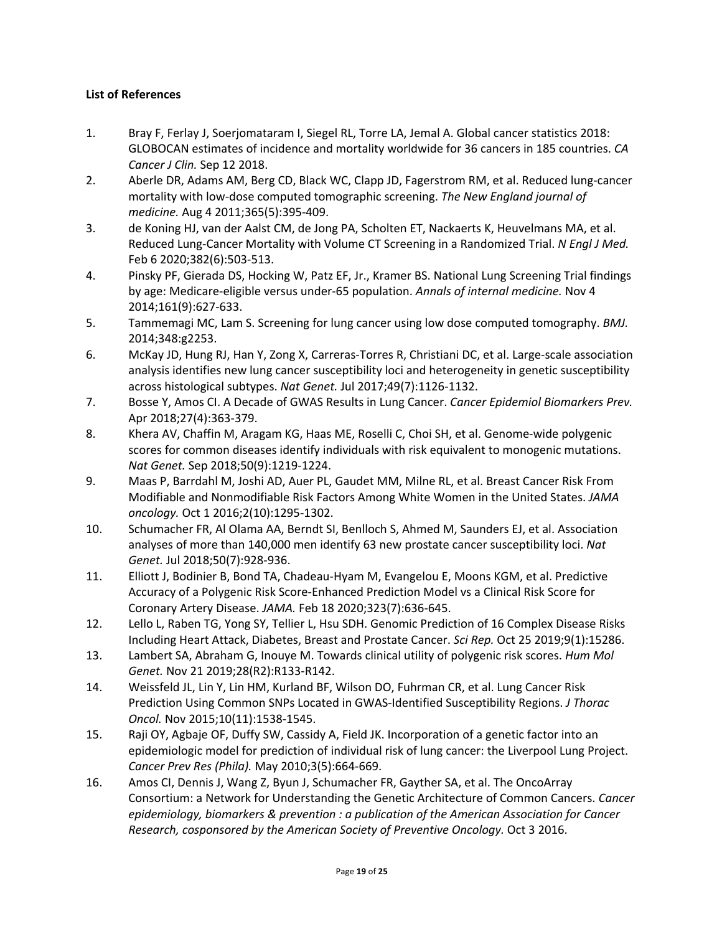# **List of References**

- 1. Bray F, Ferlay J, Soerjomataram I, Siegel RL, Torre LA, Jemal A. Global cancer statistics 2018: GLOBOCAN estimates of incidence and mortality worldwide for 36 cancers in 185 countries. *CA Cancer J Clin.* Sep 12 2018.
- 2. Aberle DR, Adams AM, Berg CD, Black WC, Clapp JD, Fagerstrom RM, et al. Reduced lung-cancer mortality with low-dose computed tomographic screening. *The New England journal of medicine.* Aug 4 2011;365(5):395-409.
- 3. de Koning HJ, van der Aalst CM, de Jong PA, Scholten ET, Nackaerts K, Heuvelmans MA, et al. Reduced Lung-Cancer Mortality with Volume CT Screening in a Randomized Trial. *N Engl J Med.*  Feb 6 2020;382(6):503-513.
- 4. Pinsky PF, Gierada DS, Hocking W, Patz EF, Jr., Kramer BS. National Lung Screening Trial findings by age: Medicare-eligible versus under-65 population. *Annals of internal medicine.* Nov 4 2014;161(9):627-633.
- 5. Tammemagi MC, Lam S. Screening for lung cancer using low dose computed tomography. *BMJ.*  2014;348:g2253.
- 6. McKay JD, Hung RJ, Han Y, Zong X, Carreras-Torres R, Christiani DC, et al. Large-scale association analysis identifies new lung cancer susceptibility loci and heterogeneity in genetic susceptibility across histological subtypes. *Nat Genet.* Jul 2017;49(7):1126-1132.
- 7. Bosse Y, Amos CI. A Decade of GWAS Results in Lung Cancer. *Cancer Epidemiol Biomarkers Prev.*  Apr 2018;27(4):363-379.
- 8. Khera AV, Chaffin M, Aragam KG, Haas ME, Roselli C, Choi SH, et al. Genome-wide polygenic scores for common diseases identify individuals with risk equivalent to monogenic mutations. *Nat Genet.* Sep 2018;50(9):1219-1224.
- 9. Maas P, Barrdahl M, Joshi AD, Auer PL, Gaudet MM, Milne RL, et al. Breast Cancer Risk From Modifiable and Nonmodifiable Risk Factors Among White Women in the United States. *JAMA oncology.* Oct 1 2016;2(10):1295-1302.
- 10. Schumacher FR, Al Olama AA, Berndt SI, Benlloch S, Ahmed M, Saunders EJ, et al. Association analyses of more than 140,000 men identify 63 new prostate cancer susceptibility loci. *Nat Genet.* Jul 2018;50(7):928-936.
- 11. Elliott J, Bodinier B, Bond TA, Chadeau-Hyam M, Evangelou E, Moons KGM, et al. Predictive Accuracy of a Polygenic Risk Score-Enhanced Prediction Model vs a Clinical Risk Score for Coronary Artery Disease. *JAMA.* Feb 18 2020;323(7):636-645.
- 12. Lello L, Raben TG, Yong SY, Tellier L, Hsu SDH. Genomic Prediction of 16 Complex Disease Risks Including Heart Attack, Diabetes, Breast and Prostate Cancer. *Sci Rep.* Oct 25 2019;9(1):15286.
- 13. Lambert SA, Abraham G, Inouye M. Towards clinical utility of polygenic risk scores. *Hum Mol Genet.* Nov 21 2019;28(R2):R133-R142.
- 14. Weissfeld JL, Lin Y, Lin HM, Kurland BF, Wilson DO, Fuhrman CR, et al. Lung Cancer Risk Prediction Using Common SNPs Located in GWAS-Identified Susceptibility Regions. *J Thorac Oncol.* Nov 2015;10(11):1538-1545.
- 15. Raji OY, Agbaje OF, Duffy SW, Cassidy A, Field JK. Incorporation of a genetic factor into an epidemiologic model for prediction of individual risk of lung cancer: the Liverpool Lung Project. *Cancer Prev Res (Phila).* May 2010;3(5):664-669.
- 16. Amos CI, Dennis J, Wang Z, Byun J, Schumacher FR, Gayther SA, et al. The OncoArray Consortium: a Network for Understanding the Genetic Architecture of Common Cancers. *Cancer epidemiology, biomarkers & prevention : a publication of the American Association for Cancer Research, cosponsored by the American Society of Preventive Oncology.* Oct 3 2016.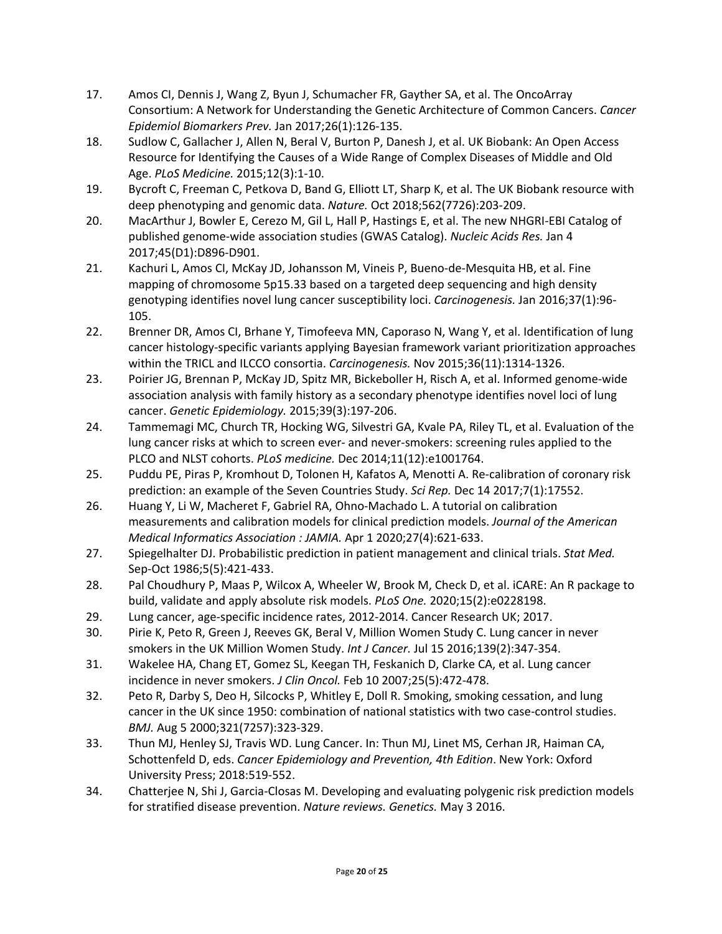- 17. Amos CI, Dennis J, Wang Z, Byun J, Schumacher FR, Gayther SA, et al. The OncoArray Consortium: A Network for Understanding the Genetic Architecture of Common Cancers. *Cancer Epidemiol Biomarkers Prev.* Jan 2017;26(1):126-135.
- 18. Sudlow C, Gallacher J, Allen N, Beral V, Burton P, Danesh J, et al. UK Biobank: An Open Access Resource for Identifying the Causes of a Wide Range of Complex Diseases of Middle and Old Age. *PLoS Medicine.* 2015;12(3):1-10.
- 19. Bycroft C, Freeman C, Petkova D, Band G, Elliott LT, Sharp K, et al. The UK Biobank resource with deep phenotyping and genomic data. *Nature.* Oct 2018;562(7726):203-209.
- 20. MacArthur J, Bowler E, Cerezo M, Gil L, Hall P, Hastings E, et al. The new NHGRI-EBI Catalog of published genome-wide association studies (GWAS Catalog). *Nucleic Acids Res.* Jan 4 2017;45(D1):D896-D901.
- 21. Kachuri L, Amos CI, McKay JD, Johansson M, Vineis P, Bueno-de-Mesquita HB, et al. Fine mapping of chromosome 5p15.33 based on a targeted deep sequencing and high density genotyping identifies novel lung cancer susceptibility loci. *Carcinogenesis.* Jan 2016;37(1):96- 105.
- 22. Brenner DR, Amos CI, Brhane Y, Timofeeva MN, Caporaso N, Wang Y, et al. Identification of lung cancer histology-specific variants applying Bayesian framework variant prioritization approaches within the TRICL and ILCCO consortia. *Carcinogenesis.* Nov 2015;36(11):1314-1326.
- 23. Poirier JG, Brennan P, McKay JD, Spitz MR, Bickeboller H, Risch A, et al. Informed genome-wide association analysis with family history as a secondary phenotype identifies novel loci of lung cancer. *Genetic Epidemiology.* 2015;39(3):197-206.
- 24. Tammemagi MC, Church TR, Hocking WG, Silvestri GA, Kvale PA, Riley TL, et al. Evaluation of the lung cancer risks at which to screen ever- and never-smokers: screening rules applied to the PLCO and NLST cohorts. *PLoS medicine.* Dec 2014;11(12):e1001764.
- 25. Puddu PE, Piras P, Kromhout D, Tolonen H, Kafatos A, Menotti A. Re-calibration of coronary risk prediction: an example of the Seven Countries Study. *Sci Rep.* Dec 14 2017;7(1):17552.
- 26. Huang Y, Li W, Macheret F, Gabriel RA, Ohno-Machado L. A tutorial on calibration measurements and calibration models for clinical prediction models. *Journal of the American Medical Informatics Association : JAMIA.* Apr 1 2020;27(4):621-633.
- 27. Spiegelhalter DJ. Probabilistic prediction in patient management and clinical trials. *Stat Med.*  Sep-Oct 1986;5(5):421-433.
- 28. Pal Choudhury P, Maas P, Wilcox A, Wheeler W, Brook M, Check D, et al. iCARE: An R package to build, validate and apply absolute risk models. *PLoS One.* 2020;15(2):e0228198.
- 29. Lung cancer, age-specific incidence rates, 2012-2014. Cancer Research UK; 2017.
- 30. Pirie K, Peto R, Green J, Reeves GK, Beral V, Million Women Study C. Lung cancer in never smokers in the UK Million Women Study. *Int J Cancer.* Jul 15 2016;139(2):347-354.
- 31. Wakelee HA, Chang ET, Gomez SL, Keegan TH, Feskanich D, Clarke CA, et al. Lung cancer incidence in never smokers. *J Clin Oncol.* Feb 10 2007;25(5):472-478.
- 32. Peto R, Darby S, Deo H, Silcocks P, Whitley E, Doll R. Smoking, smoking cessation, and lung cancer in the UK since 1950: combination of national statistics with two case-control studies. *BMJ.* Aug 5 2000;321(7257):323-329.
- 33. Thun MJ, Henley SJ, Travis WD. Lung Cancer. In: Thun MJ, Linet MS, Cerhan JR, Haiman CA, Schottenfeld D, eds. *Cancer Epidemiology and Prevention, 4th Edition*. New York: Oxford University Press; 2018:519-552.
- 34. Chatterjee N, Shi J, Garcia-Closas M. Developing and evaluating polygenic risk prediction models for stratified disease prevention. *Nature reviews. Genetics.* May 3 2016.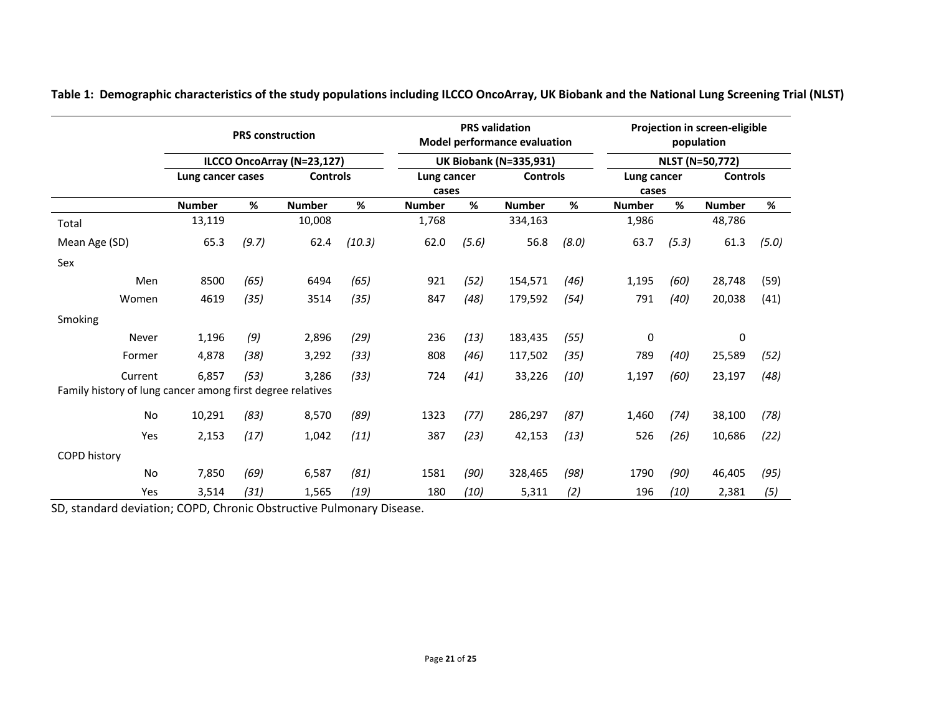|                                                            | <b>PRS</b> construction    |       |                 |        |               | <b>PRS</b> validation<br><b>Model performance evaluation</b><br><b>UK Biobank (N=335,931)</b> |                 |       | Projection in screen-eligible<br>population<br><b>NLST (N=50,772)</b> |       |                 |       |
|------------------------------------------------------------|----------------------------|-------|-----------------|--------|---------------|-----------------------------------------------------------------------------------------------|-----------------|-------|-----------------------------------------------------------------------|-------|-----------------|-------|
|                                                            | ILCCO OncoArray (N=23,127) |       |                 |        |               |                                                                                               |                 |       |                                                                       |       |                 |       |
|                                                            | Lung cancer cases          |       | <b>Controls</b> |        | Lung cancer   |                                                                                               | <b>Controls</b> |       | Lung cancer                                                           |       | <b>Controls</b> |       |
|                                                            |                            |       |                 |        | cases         |                                                                                               |                 |       | cases                                                                 |       |                 |       |
|                                                            | <b>Number</b>              | %     | <b>Number</b>   | %      | <b>Number</b> | %                                                                                             | <b>Number</b>   | %     | <b>Number</b>                                                         | %     | <b>Number</b>   | %     |
| Total                                                      | 13,119                     |       | 10,008          |        | 1,768         |                                                                                               | 334,163         |       | 1,986                                                                 |       | 48,786          |       |
| Mean Age (SD)                                              | 65.3                       | (9.7) | 62.4            | (10.3) | 62.0          | (5.6)                                                                                         | 56.8            | (8.0) | 63.7                                                                  | (5.3) | 61.3            | (5.0) |
| Sex                                                        |                            |       |                 |        |               |                                                                                               |                 |       |                                                                       |       |                 |       |
| Men                                                        | 8500                       | (65)  | 6494            | (65)   | 921           | (52)                                                                                          | 154,571         | (46)  | 1,195                                                                 | (60)  | 28,748          | (59)  |
| Women                                                      | 4619                       | (35)  | 3514            | (35)   | 847           | (48)                                                                                          | 179,592         | (54)  | 791                                                                   | (40)  | 20,038          | (41)  |
| Smoking                                                    |                            |       |                 |        |               |                                                                                               |                 |       |                                                                       |       |                 |       |
| Never                                                      | 1,196                      | (9)   | 2,896           | (29)   | 236           | (13)                                                                                          | 183,435         | (55)  | 0                                                                     |       | 0               |       |
| Former                                                     | 4,878                      | (38)  | 3,292           | (33)   | 808           | (46)                                                                                          | 117,502         | (35)  | 789                                                                   | (40)  | 25,589          | (52)  |
| Current                                                    | 6,857                      | (53)  | 3,286           | (33)   | 724           | (41)                                                                                          | 33,226          | (10)  | 1,197                                                                 | (60)  | 23,197          | (48)  |
| Family history of lung cancer among first degree relatives |                            |       |                 |        |               |                                                                                               |                 |       |                                                                       |       |                 |       |
| <b>No</b>                                                  | 10,291                     | (83)  | 8,570           | (89)   | 1323          | (77)                                                                                          | 286,297         | (87)  | 1,460                                                                 | (74)  | 38,100          | (78)  |
| Yes                                                        | 2,153                      | (17)  | 1,042           | (11)   | 387           | (23)                                                                                          | 42,153          | (13)  | 526                                                                   | (26)  | 10,686          | (22)  |
| <b>COPD history</b>                                        |                            |       |                 |        |               |                                                                                               |                 |       |                                                                       |       |                 |       |
| No                                                         | 7,850                      | (69)  | 6,587           | (81)   | 1581          | (90)                                                                                          | 328,465         | (98)  | 1790                                                                  | (90)  | 46,405          | (95)  |
| Yes                                                        | 3,514                      | (31)  | 1,565           | (19)   | 180           | (10)                                                                                          | 5,311           | (2)   | 196                                                                   | (10)  | 2,381           | (5)   |

**Table 1: Demographic characteristics of the study populations including ILCCO OncoArray, UK Biobank and the National Lung Screening Trial (NLST)**

SD, standard deviation; COPD, Chronic Obstructive Pulmonary Disease.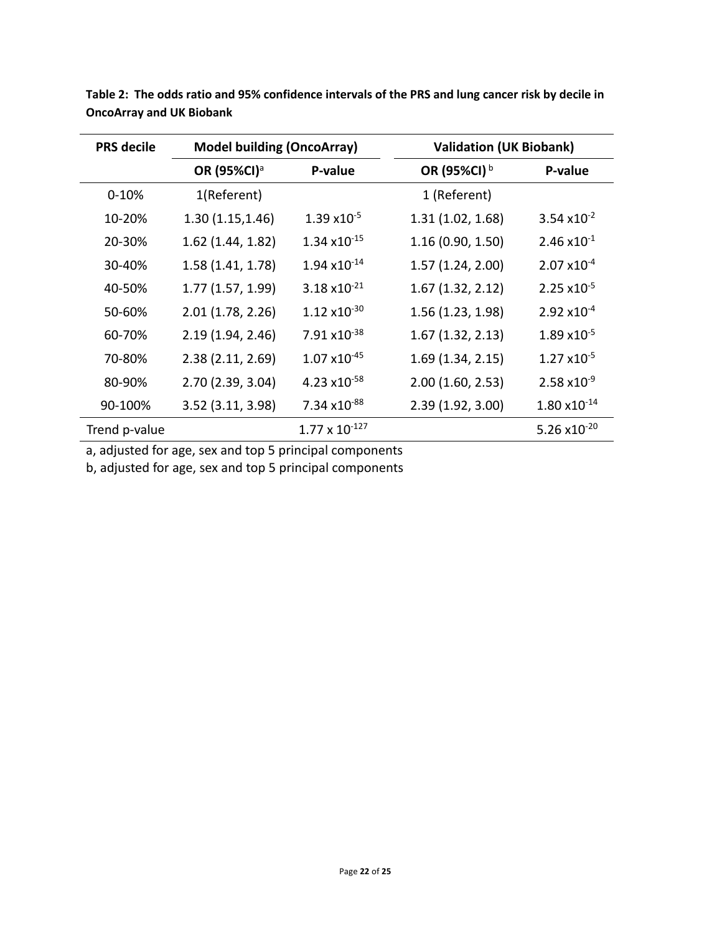| <b>PRS</b> decile | <b>Model building (OncoArray)</b> |                                 | <b>Validation (UK Biobank)</b> |                        |  |  |
|-------------------|-----------------------------------|---------------------------------|--------------------------------|------------------------|--|--|
|                   | OR (95%CI) <sup>a</sup>           | P-value                         | OR (95%CI) <sup>b</sup>        | P-value                |  |  |
| $0 - 10%$         | 1(Referent)                       |                                 | 1 (Referent)                   |                        |  |  |
| 10-20%            | 1.30(1.15, 1.46)                  | $1.39 \times 10^{-5}$           | 1.31(1.02, 1.68)               | $3.54 \times 10^{-2}$  |  |  |
| 20-30%            | $1.62$ (1.44, 1.82)               | $1.34 \times 10^{-15}$          | 1.16(0.90, 1.50)               | $2.46 \times 10^{-1}$  |  |  |
| 30-40%            | 1.58(1.41, 1.78)                  | $1.94 \times 10^{-14}$          | 1.57(1.24, 2.00)               | $2.07 \times 10^{-4}$  |  |  |
| 40-50%            | 1.77(1.57, 1.99)                  | $3.18 \times 10^{-21}$          | 1.67(1.32, 2.12)               | $2.25 \times 10^{-5}$  |  |  |
| 50-60%            | 2.01(1.78, 2.26)                  | $1.12 \times 10^{-30}$          | 1.56(1.23, 1.98)               | $2.92 \times 10^{-4}$  |  |  |
| 60-70%            | 2.19(1.94, 2.46)                  | $7.91 \times 10^{-38}$          | 1.67(1.32, 2.13)               | $1.89 \times 10^{-5}$  |  |  |
| 70-80%            | 2.38(2.11, 2.69)                  | $1.07 \times 10^{-45}$          | 1.69(1.34, 2.15)               | $1.27 \times 10^{-5}$  |  |  |
| 80-90%            | 2.70 (2.39, 3.04)                 | 4.23 $\times$ 10 <sup>-58</sup> | 2.00(1.60, 2.53)               | $2.58 \times 10^{-9}$  |  |  |
| 90-100%           | 3.52(3.11, 3.98)                  | 7.34 x10-88                     | 2.39(1.92, 3.00)               | $1.80 \times 10^{-14}$ |  |  |
| Trend p-value     |                                   | $1.77 \times 10^{-127}$         |                                | 5.26 $x10^{-20}$       |  |  |

**Table 2: The odds ratio and 95% confidence intervals of the PRS and lung cancer risk by decile in OncoArray and UK Biobank**

a, adjusted for age, sex and top 5 principal components

b, adjusted for age, sex and top 5 principal components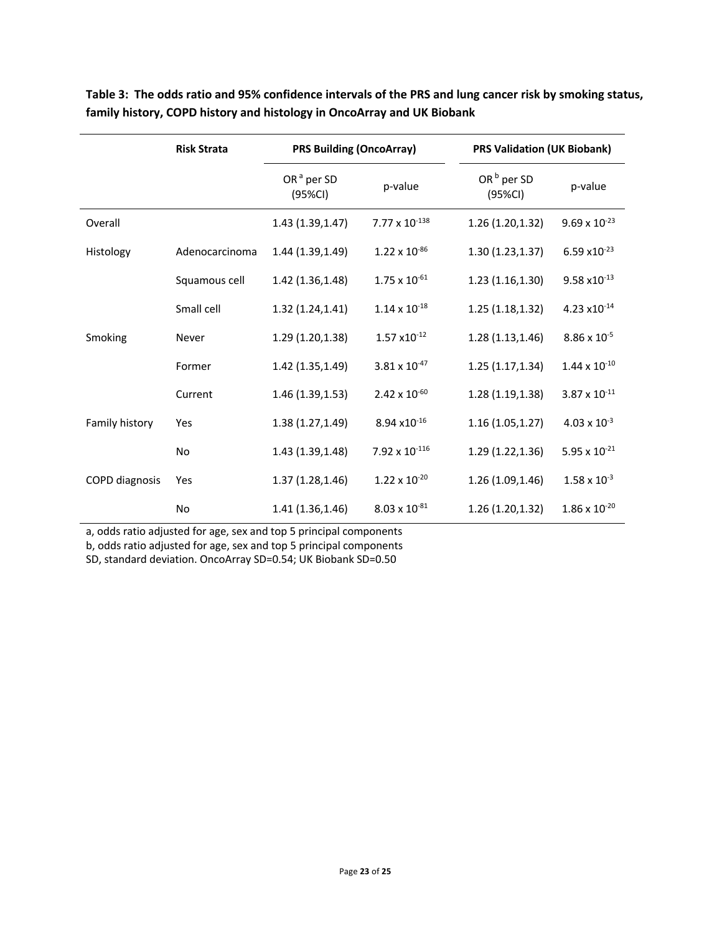|                       | <b>Risk Strata</b> | <b>PRS Building (OncoArray)</b>   |                        | <b>PRS Validation (UK Biobank)</b> |                                 |  |  |
|-----------------------|--------------------|-----------------------------------|------------------------|------------------------------------|---------------------------------|--|--|
|                       |                    | OR <sup>a</sup> per SD<br>(95%CI) | p-value                | OR <sup>b</sup> per SD<br>(95%CI)  | p-value                         |  |  |
| Overall               |                    | 1.43 (1.39, 1.47)                 | 7.77 x $10^{-138}$     | 1.26(1.20, 1.32)                   | $9.69 \times 10^{-23}$          |  |  |
| Histology             | Adenocarcinoma     | 1.44 (1.39, 1.49)                 | $1.22 \times 10^{-86}$ | 1.30(1.23, 1.37)                   | $6.59 \times 10^{-23}$          |  |  |
|                       | Squamous cell      | 1.42 (1.36,1.48)                  | $1.75 \times 10^{-61}$ | 1.23(1.16, 1.30)                   | $9.58 \times 10^{-13}$          |  |  |
|                       | Small cell         | 1.32 (1.24, 1.41)                 | $1.14 \times 10^{-18}$ | 1.25(1.18, 1.32)                   | 4.23 $\times$ 10 <sup>-14</sup> |  |  |
| Smoking               | Never              | 1.29 (1.20,1.38)                  | $1.57 \times 10^{-12}$ | 1.28(1.13, 1.46)                   | $8.86 \times 10^{-5}$           |  |  |
|                       | Former             | 1.42 (1.35,1.49)                  | $3.81 \times 10^{-47}$ | 1.25(1.17, 1.34)                   | $1.44 \times 10^{-10}$          |  |  |
|                       | Current            | 1.46 (1.39, 1.53)                 | $2.42 \times 10^{-60}$ | 1.28(1.19, 1.38)                   | $3.87 \times 10^{-11}$          |  |  |
| Family history        | Yes                | 1.38 (1.27, 1.49)                 | 8.94 x10-16            | 1.16(1.05, 1.27)                   | $4.03 \times 10^{-3}$           |  |  |
|                       | No                 | 1.43 (1.39, 1.48)                 | 7.92 x $10^{-116}$     | 1.29 (1.22, 1.36)                  | 5.95 x $10^{-21}$               |  |  |
| <b>COPD</b> diagnosis | Yes                | 1.37(1.28, 1.46)                  | $1.22 \times 10^{-20}$ | 1.26 (1.09,1.46)                   | $1.58 \times 10^{-3}$           |  |  |
|                       | No                 | 1.41 (1.36,1.46)                  | $8.03 \times 10^{-81}$ | 1.26(1.20, 1.32)                   | $1.86 \times 10^{-20}$          |  |  |

**Table 3: The odds ratio and 95% confidence intervals of the PRS and lung cancer risk by smoking status, family history, COPD history and histology in OncoArray and UK Biobank**

a, odds ratio adjusted for age, sex and top 5 principal components

b, odds ratio adjusted for age, sex and top 5 principal components

SD, standard deviation. OncoArray SD=0.54; UK Biobank SD=0.50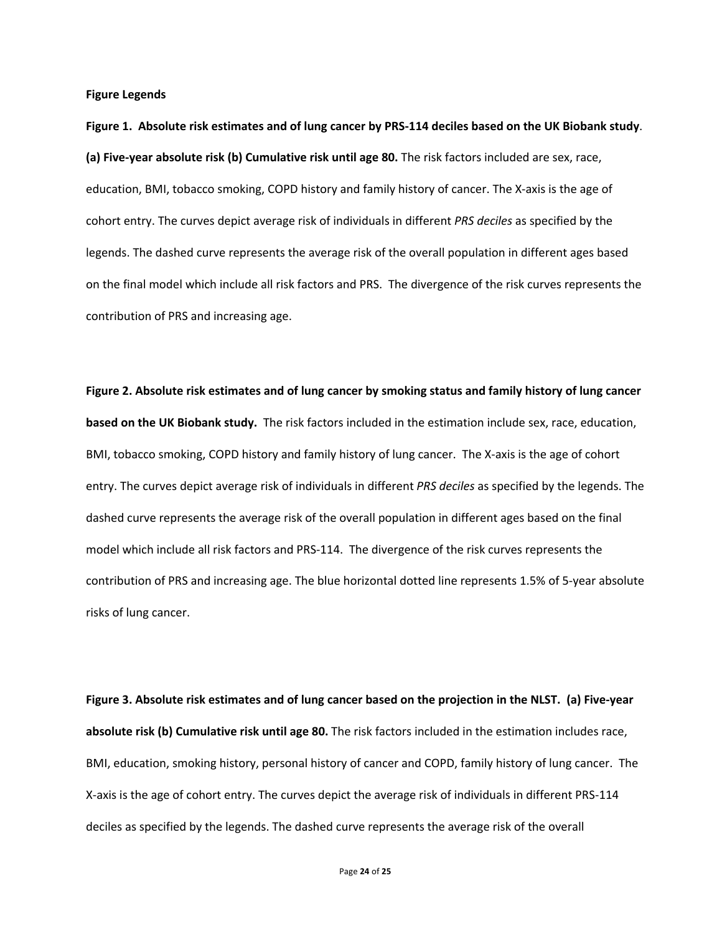**Figure Legends**

**Figure 1. Absolute risk estimates and of lung cancer by PRS-114 deciles based on the UK Biobank study**. **(a) Five-year absolute risk (b) Cumulative risk until age 80.** The risk factors included are sex, race, education, BMI, tobacco smoking, COPD history and family history of cancer. The X-axis is the age of cohort entry. The curves depict average risk of individuals in different *PRS deciles* as specified by the legends. The dashed curve represents the average risk of the overall population in different ages based on the final model which include all risk factors and PRS. The divergence of the risk curves represents the contribution of PRS and increasing age.

**Figure 2. Absolute risk estimates and of lung cancer by smoking status and family history of lung cancer based on the UK Biobank study.** The risk factors included in the estimation include sex, race, education, BMI, tobacco smoking, COPD history and family history of lung cancer. The X-axis is the age of cohort entry. The curves depict average risk of individuals in different *PRS deciles* as specified by the legends. The dashed curve represents the average risk of the overall population in different ages based on the final model which include all risk factors and PRS-114. The divergence of the risk curves represents the contribution of PRS and increasing age. The blue horizontal dotted line represents 1.5% of 5-year absolute risks of lung cancer.

**Figure 3. Absolute risk estimates and of lung cancer based on the projection in the NLST. (a) Five-year absolute risk (b) Cumulative risk until age 80.** The risk factors included in the estimation includes race, BMI, education, smoking history, personal history of cancer and COPD, family history of lung cancer. The X-axis is the age of cohort entry. The curves depict the average risk of individuals in different PRS-114 deciles as specified by the legends. The dashed curve represents the average risk of the overall